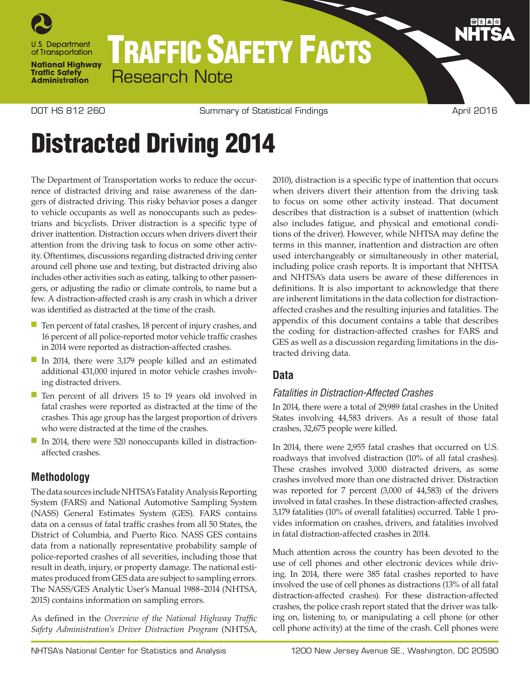

## TRAFFIC SAFETY FACTS Research Note

DOT HS 812 260 Summary of Statistical Findings **April 2016** April 2016

# Distracted Driving 2014

The Department of Transportation works to reduce the occurrence of distracted driving and raise awareness of the dangers of distracted driving. This risky behavior poses a danger to vehicle occupants as well as nonoccupants such as pedestrians and bicyclists. Driver distraction is a specific type of driver inattention. Distraction occurs when drivers divert their attention from the driving task to focus on some other activity. Oftentimes, discussions regarding distracted driving center around cell phone use and texting, but distracted driving also includes other activities such as eating, talking to other passengers, or adjusting the radio or climate controls, to name but a few. A distraction-affected crash is any crash in which a driver was identified as distracted at the time of the crash.

- Ten percent of fatal crashes, 18 percent of injury crashes, and 16 percent of all police-reported motor vehicle traffic crashes in 2014 were reported as distraction-affected crashes.
- In 2014, there were 3,179 people killed and an estimated additional 431,000 injured in motor vehicle crashes involving distracted drivers.
- Ten percent of all drivers 15 to 19 years old involved in fatal crashes were reported as distracted at the time of the crashes. This age group has the largest proportion of drivers who were distracted at the time of the crashes.
- In 2014, there were 520 nonoccupants killed in distractionaffected crashes.

## **Methodology**

The data sources include NHTSA's Fatality Analysis Reporting System (FARS) and National Automotive Sampling System (NASS) General Estimates System (GES). FARS contains data on a census of fatal traffic crashes from all 50 States, the District of Columbia, and Puerto Rico. NASS GES contains data from a nationally representative probability sample of police-reported crashes of all severities, including those that result in death, injury, or property damage. The national estimates produced from GES data are subject to sampling errors. The NASS/GES Analytic User's Manual 1988–2014 (NHTSA, 2015) contains information on sampling errors.

As defined in the *Overview of the National Highway Traffic Safety Administration's Driver Distraction Program* (NHTSA, 2010), distraction is a specific type of inattention that occurs when drivers divert their attention from the driving task to focus on some other activity instead. That document describes that distraction is a subset of inattention (which also includes fatigue, and physical and emotional conditions of the driver). However, while NHTSA may define the terms in this manner, inattention and distraction are often used interchangeably or simultaneously in other material, including police crash reports. It is important that NHTSA and NHTSA's data users be aware of these differences in definitions. It is also important to acknowledge that there are inherent limitations in the data collection for distractionaffected crashes and the resulting injuries and fatalities. The appendix of this document contains a table that describes the coding for distraction-affected crashes for FARS and GES as well as a discussion regarding limitations in the distracted driving data.

## **Data**

## *Fatalities in Distraction-Affected Crashes*

In 2014, there were a total of 29,989 fatal crashes in the United States involving 44,583 drivers. As a result of those fatal crashes, 32,675 people were killed.

In 2014, there were 2,955 fatal crashes that occurred on U.S. roadways that involved distraction (10% of all fatal crashes). These crashes involved 3,000 distracted drivers, as some crashes involved more than one distracted driver. Distraction was reported for 7 percent (3,000 of 44,583) of the drivers involved in fatal crashes. In these distraction-affected crashes, 3,179 fatalities (10% of overall fatalities) occurred. Table 1 provides information on crashes, drivers, and fatalities involved in fatal distraction-affected crashes in 2014.

Much attention across the country has been devoted to the use of cell phones and other electronic devices while driving. In 2014, there were 385 fatal crashes reported to have involved the use of cell phones as distractions (13% of all fatal distraction-affected crashes). For these distraction-affected crashes, the police crash report stated that the driver was talking on, listening to, or manipulating a cell phone (or other cell phone activity) at the time of the crash. Cell phones were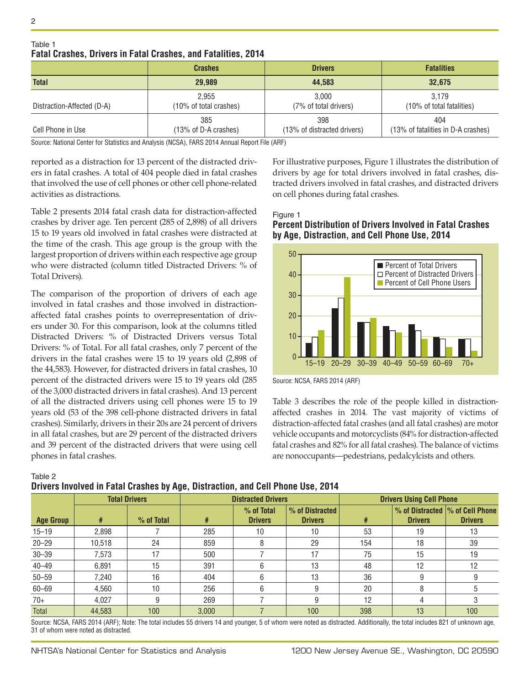|                            | <b>Crashes</b>                  | <b>Drivers</b>                     | <b>Fatalities</b>                         |  |
|----------------------------|---------------------------------|------------------------------------|-------------------------------------------|--|
| <b>Total</b>               | 29.989                          | 44.583                             | 32,675                                    |  |
| Distraction-Affected (D-A) | 2.955<br>(10% of total crashes) | 3.000<br>(7% of total drivers)     | 3.179<br>(10% of total fatalities)        |  |
| Cell Phone in Use          | 385<br>(13% of D-A crashes)     | 398<br>(13% of distracted drivers) | 404<br>(13% of fatalities in D-A crashes) |  |

Table 1 **Fatal Crashes, Drivers in Fatal Crashes, and Fatalities, 2014**

Source: National Center for Statistics and Analysis (NCSA), FARS 2014 Annual Report File (ARF)

reported as a distraction for 13 percent of the distracted drivers in fatal crashes. A total of 404 people died in fatal crashes that involved the use of cell phones or other cell phone-related activities as distractions.

Table 2 presents 2014 fatal crash data for distraction-affected crashes by driver age. Ten percent (285 of 2,898) of all drivers 15 to 19 years old involved in fatal crashes were distracted at the time of the crash. This age group is the group with the largest proportion of drivers within each respective age group who were distracted (column titled Distracted Drivers: % of Total Drivers).

The comparison of the proportion of drivers of each age involved in fatal crashes and those involved in distractionaffected fatal crashes points to overrepresentation of drivers under 30. For this comparison, look at the columns titled Distracted Drivers: % of Distracted Drivers versus Total Drivers: % of Total. For all fatal crashes, only 7 percent of the drivers in the fatal crashes were 15 to 19 years old (2,898 of the 44,583). However, for distracted drivers in fatal crashes, 10 percent of the distracted drivers were 15 to 19 years old (285 of the 3,000 distracted drivers in fatal crashes). And 13 percent of all the distracted drivers using cell phones were 15 to 19 years old (53 of the 398 cell-phone distracted drivers in fatal crashes). Similarly, drivers in their 20s are 24 percent of drivers in all fatal crashes, but are 29 percent of the distracted drivers and 39 percent of the distracted drivers that were using cell phones in fatal crashes.

**Drivers Involved in Fatal Crashes by Age, Distraction, and Cell Phone Use, 2014**

For illustrative purposes, Figure 1 illustrates the distribution of drivers by age for total drivers involved in fatal crashes, distracted drivers involved in fatal crashes, and distracted drivers on cell phones during fatal crashes.

#### Figure 1 **Percent Distribution of Drivers Involved in Fatal Crashes by Age, Distraction, and Cell Phone Use, 2014**



Source: NCSA, FARS 2014 (ARF)

Table 3 describes the role of the people killed in distractionaffected crashes in 2014. The vast majority of victims of distraction-affected fatal crashes (and all fatal crashes) are motor vehicle occupants and motorcyclists (84% for distraction-affected fatal crashes and 82% for all fatal crashes). The balance of victims are nonoccupants—pedestrians, pedalcylcists and others.

| PHYCIS MIVOIVCU III I UNU OIUSIICS DY AYC, PISNUSHON, UNU OCH I NONC OSC, LOTT |                      |            |                           |                              |                                   |                                 |                |                                                    |
|--------------------------------------------------------------------------------|----------------------|------------|---------------------------|------------------------------|-----------------------------------|---------------------------------|----------------|----------------------------------------------------|
|                                                                                | <b>Total Drivers</b> |            | <b>Distracted Drivers</b> |                              |                                   | <b>Drivers Using Cell Phone</b> |                |                                                    |
| <b>Age Group</b>                                                               | #                    | % of Total | #                         | % of Total<br><b>Drivers</b> | % of Distracted<br><b>Drivers</b> | #                               | <b>Drivers</b> | % of Distracted  % of Cell Phone<br><b>Drivers</b> |
| $15 - 19$                                                                      | 2.898                |            | 285                       | 10                           | 10                                | 53                              | 19             | 13                                                 |
| $20 - 29$                                                                      | 10,518               | 24         | 859                       |                              | 29                                | 154                             | 18             | 39                                                 |
| $30 - 39$                                                                      | 7.573                | 17         | 500                       |                              | 17                                | 75                              | 15             | 19                                                 |
| $40 - 49$                                                                      | 6.891                | 15         | 391                       |                              | 13                                | 48                              | 12             | 12                                                 |
| $50 - 59$                                                                      | 7.240                | 16         | 404                       |                              | 13                                | 36                              | 9              |                                                    |
| $60 - 69$                                                                      | 4.560                | 10         | 256                       |                              |                                   | 20                              | 8              |                                                    |
| $70+$                                                                          | 4.027                | 9          | 269                       |                              |                                   | 12                              | 4              |                                                    |
| <b>Total</b>                                                                   | 44.583               | 100        | 3.000                     |                              | 100                               | 398                             | 13             | 100                                                |

Source: NCSA, FARS 2014 (ARF); Note: The total includes 55 drivers 14 and younger, 5 of whom were noted as distracted. Additionally, the total includes 821 of unknown age, 31 of whom were noted as distracted.

Table 2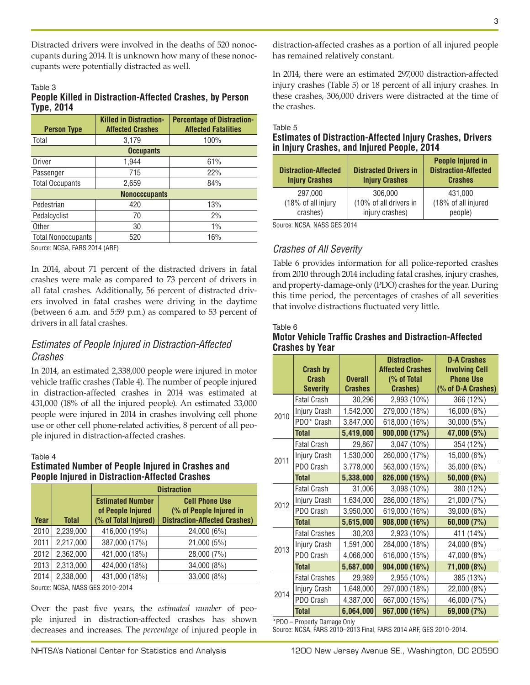Distracted drivers were involved in the deaths of 520 nonoccupants during 2014. It is unknown how many of these nonoccupants were potentially distracted as well.

## Table 3

#### **People Killed in Distraction-Affected Crashes, by Person Type, 2014**

| <b>Person Type</b>        | <b>Killed in Distraction-</b><br><b>Affected Crashes</b> | <b>Percentage of Distraction-</b><br><b>Affected Fatalities</b> |  |  |  |
|---------------------------|----------------------------------------------------------|-----------------------------------------------------------------|--|--|--|
| Total                     | 3.179                                                    | 100%                                                            |  |  |  |
|                           | <b>Occupants</b>                                         |                                                                 |  |  |  |
| <b>Driver</b>             | 1,944                                                    | 61%                                                             |  |  |  |
| Passenger                 | 715                                                      | 22%                                                             |  |  |  |
| <b>Total Occupants</b>    | 2,659                                                    | 84%                                                             |  |  |  |
| <b>Nonocccupants</b>      |                                                          |                                                                 |  |  |  |
| Pedestrian                | 420                                                      | 13%                                                             |  |  |  |
| Pedalcyclist              | 70                                                       | 2%                                                              |  |  |  |
| Other                     | 30                                                       | $1\%$                                                           |  |  |  |
| <b>Total Nonoccupants</b> | 520                                                      | 16%                                                             |  |  |  |

Source: NCSA, FARS 2014 (ARF)

In 2014, about 71 percent of the distracted drivers in fatal crashes were male as compared to 73 percent of drivers in all fatal crashes. Additionally, 56 percent of distracted drivers involved in fatal crashes were driving in the daytime (between 6 a.m. and 5:59 p.m.) as compared to 53 percent of drivers in all fatal crashes.

## *Estimates of People Injured in Distraction-Affected Crashes*

In 2014, an estimated 2,338,000 people were injured in motor vehicle traffic crashes (Table 4). The number of people injured in distraction-affected crashes in 2014 was estimated at 431,000 (18% of all the injured people). An estimated 33,000 people were injured in 2014 in crashes involving cell phone use or other cell phone-related activities, 8 percent of all people injured in distraction-affected crashes.

#### Table 4

#### **Estimated Number of People Injured in Crashes and People Injured in Distraction-Affected Crashes**

|      |              | <b>Distraction</b>                                                   |                                                                                          |  |
|------|--------------|----------------------------------------------------------------------|------------------------------------------------------------------------------------------|--|
| Year | <b>Total</b> | <b>Estimated Number</b><br>of People Injured<br>(% of Total Injured) | <b>Cell Phone Use</b><br>(% of People Injured in<br><b>Distraction-Affected Crashes)</b> |  |
| 2010 | 2,239,000    | 416,000 (19%)                                                        | 24,000 (6%)                                                                              |  |
| 2011 | 2,217,000    | 387,000 (17%)                                                        | 21,000 (5%)                                                                              |  |
| 2012 | 2,362,000    | 421,000 (18%)                                                        | 28,000 (7%)                                                                              |  |
| 2013 | 2,313,000    | 424,000 (18%)                                                        | 34,000 (8%)                                                                              |  |
| 2014 | 2,338,000    | 431,000 (18%)                                                        | 33,000 (8%)                                                                              |  |

Source: NCSA, NASS GES 2010–2014

Over the past five years, the *estimated number* of people injured in distraction-affected crashes has shown decreases and increases. The *percentage* of injured people in distraction-affected crashes as a portion of all injured people has remained relatively constant.

In 2014, there were an estimated 297,000 distraction-affected injury crashes (Table 5) or 18 percent of all injury crashes. In these crashes, 306,000 drivers were distracted at the time of the crashes.

#### Table 5

#### **Estimates of Distraction-Affected Injury Crashes, Drivers in Injury Crashes, and Injured People, 2014**

| <b>Distraction-Affected</b><br><b>Injury Crashes</b> | <b>Distracted Drivers in</b><br><b>Injury Crashes</b> | <b>People Injured in</b><br><b>Distraction-Affected</b><br><b>Crashes</b> |
|------------------------------------------------------|-------------------------------------------------------|---------------------------------------------------------------------------|
| 297,000                                              | 306,000                                               | 431.000                                                                   |
| (18% of all injury                                   | (10% of all drivers in                                | (18% of all injured                                                       |
| crashes)                                             | injury crashes)                                       | people)                                                                   |
| $\mathbf{11001}$<br>$\mathbf{A}$                     |                                                       |                                                                           |

Source: NCSA, NASS GES 2014

## *Crashes of All Severity*

Table 6 provides information for all police-reported crashes from 2010 through 2014 including fatal crashes, injury crashes, and property-damage-only (PDO) crashes for the year. During this time period, the percentages of crashes of all severities that involve distractions fluctuated very little.

#### Table 6 **Motor Vehicle Traffic Crashes and Distraction-Affected Crashes by Year**

|      |                      |                | <b>Distraction-</b>     | <b>D-A Crashes</b>    |
|------|----------------------|----------------|-------------------------|-----------------------|
|      | <b>Crash by</b>      |                | <b>Affected Crashes</b> | <b>Involving Cell</b> |
|      | Crash                | <b>Overall</b> | (% of Total             | <b>Phone Use</b>      |
|      | <b>Severity</b>      | <b>Crashes</b> | <b>Crashes)</b>         | (% of D-A Crashes)    |
|      | <b>Fatal Crash</b>   | 30,296         | 2,993 (10%)             | 366 (12%)             |
| 2010 | Injury Crash         | 1,542,000      | 279,000 (18%)           | 16,000 (6%)           |
|      | PDO* Crash           | 3,847,000      | 618,000 (16%)           | 30,000 (5%)           |
|      | <b>Total</b>         | 5,419,000      | 900,000 (17%)           | 47,000 (5%)           |
|      | <b>Fatal Crash</b>   | 29,867         | 3,047 (10%)             | 354 (12%)             |
| 2011 | Injury Crash         | 1,530,000      | 260,000 (17%)           | 15,000 (6%)           |
|      | PDO Crash            | 3,778,000      | 563,000 (15%)           | 35,000 (6%)           |
|      | <b>Total</b>         | 5,338,000      | 826,000 (15%)           | 50,000(6%)            |
|      | <b>Fatal Crash</b>   | 31,006         | 3,098 (10%)             | 380 (12%)             |
| 2012 | Injury Crash         | 1,634,000      | 286,000 (18%)           | 21,000 (7%)           |
|      | PDO Crash            | 3,950,000      | 619,000 (16%)           | 39,000 (6%)           |
|      | <b>Total</b>         | 5,615,000      | 908,000 (16%)           | 60,000 (7%)           |
|      | <b>Fatal Crashes</b> | 30,203         | 2,923 (10%)             | 411 (14%)             |
| 2013 | Injury Crash         | 1,591,000      | 284,000 (18%)           | 24,000 (8%)           |
|      | PDO Crash            | 4,066,000      | 616,000 (15%)           | 47,000 (8%)           |
|      | <b>Total</b>         | 5,687,000      | 904,000 (16%)           | 71,000 (8%)           |
| 2014 | <b>Fatal Crashes</b> | 29,989         | 2,955 (10%)             | 385 (13%)             |
|      | Injury Crash         | 1,648,000      | 297,000 (18%)           | 22,000 (8%)           |
|      | PDO Crash            | 4,387,000      | 667,000 (15%)           | 46,000 (7%)           |
|      | <b>Total</b>         | 6,064,000      | 967,000 (16%)           | 69,000 (7%)           |

\*PDO – Property Damage Only

Source: NCSA, FARS 2010–2013 Final, FARS 2014 ARF, GES 2010–2014.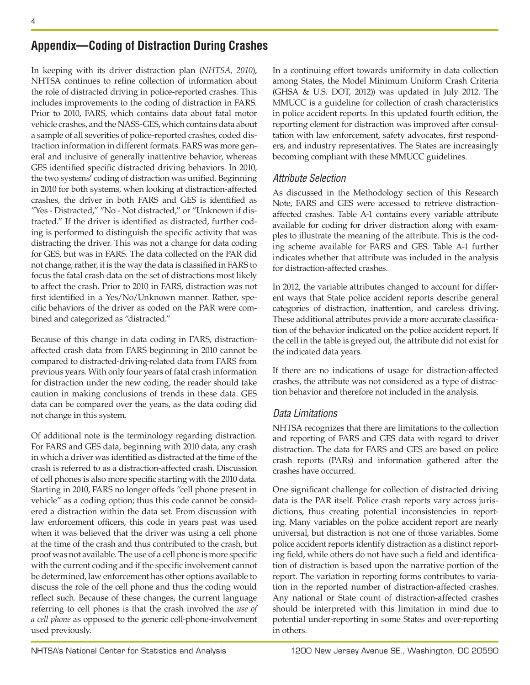## **Appendix—Coding of Distraction During Crashes**

In keeping with its driver distraction plan (*NHTSA, 2010*), NHTSA continues to refine collection of information about the role of distracted driving in police-reported crashes. This includes improvements to the coding of distraction in FARS. Prior to 2010, FARS, which contains data about fatal motor vehicle crashes, and the NASS-GES, which contains data about a sample of all severities of police-reported crashes, coded distraction information in different formats. FARS was more general and inclusive of generally inattentive behavior, whereas GES identified specific distracted driving behaviors. In 2010, the two systems' coding of distraction was unified. Beginning in 2010 for both systems, when looking at distraction-affected crashes, the driver in both FARS and GES is identified as "Yes - Distracted," "No - Not distracted," or "Unknown if distracted." If the driver is identified as distracted, further coding is performed to distinguish the specific activity that was distracting the driver. This was not a change for data coding for GES, but was in FARS. The data collected on the PAR did not change; rather, it is the way the data is classified in FARS to focus the fatal crash data on the set of distractions most likely to affect the crash. Prior to 2010 in FARS, distraction was not first identified in a Yes/No/Unknown manner. Rather, specific behaviors of the driver as coded on the PAR were combined and categorized as "distracted."

Because of this change in data coding in FARS, distractionaffected crash data from FARS beginning in 2010 cannot be compared to distracted-driving-related data from FARS from previous years. With only four years of fatal crash information for distraction under the new coding, the reader should take caution in making conclusions of trends in these data. GES data can be compared over the years, as the data coding did not change in this system.

Of additional note is the terminology regarding distraction. For FARS and GES data, beginning with 2010 data, any crash in which a driver was identified as distracted at the time of the crash is referred to as a distraction-affected crash. Discussion of cell phones is also more specific starting with the 2010 data. Starting in 2010, FARS no longer offeds "cell phone present in vehicle" as a coding option; thus this code cannot be considered a distraction within the data set. From discussion with law enforcement officers, this code in years past was used when it was believed that the driver was using a cell phone at the time of the crash and thus contributed to the crash, but proof was not available. The use of a cell phone is more specific with the current coding and if the specific involvement cannot be determined, law enforcement has other options available to discuss the role of the cell phone and thus the coding would reflect such. Because of these changes, the current language referring to cell phones is that the crash involved the *use of a cell phone* as opposed to the generic cell-phone-involvement used previously.

In a continuing effort towards uniformity in data collection among States, the Model Minimum Uniform Crash Criteria (GHSA & U.S. DOT, 2012)) was updated in July 2012. The MMUCC is a guideline for collection of crash characteristics in police accident reports. In this updated fourth edition, the reporting element for distraction was improved after consultation with law enforcement, safety advocates, first responders, and industry representatives. The States are increasingly becoming compliant with these MMUCC guidelines.

## *Attribute Selection*

As discussed in the Methodology section of this Research Note, FARS and GES were accessed to retrieve distractionaffected crashes. Table A-1 contains every variable attribute available for coding for driver distraction along with examples to illustrate the meaning of the attribute. This is the coding scheme available for FARS and GES. Table A-1 further indicates whether that attribute was included in the analysis for distraction-affected crashes.

In 2012, the variable attributes changed to account for different ways that State police accident reports describe general categories of distraction, inattention, and careless driving. These additional attributes provide a more accurate classification of the behavior indicated on the police accident report. If the cell in the table is greyed out, the attribute did not exist for the indicated data years.

If there are no indications of usage for distraction-affected crashes, the attribute was not considered as a type of distraction behavior and therefore not included in the analysis.

## *Data Limitations*

NHTSA recognizes that there are limitations to the collection and reporting of FARS and GES data with regard to driver distraction. The data for FARS and GES are based on police crash reports (PARs) and information gathered after the crashes have occurred.

One significant challenge for collection of distracted driving data is the PAR itself. Police crash reports vary across jurisdictions, thus creating potential inconsistencies in reporting. Many variables on the police accident report are nearly universal, but distraction is not one of those variables. Some police accident reports identify distraction as a distinct reporting field, while others do not have such a field and identification of distraction is based upon the narrative portion of the report. The variation in reporting forms contributes to variation in the reported number of distraction-affected crashes. Any national or State count of distraction-affected crashes should be interpreted with this limitation in mind due to potential under-reporting in some States and over-reporting in others.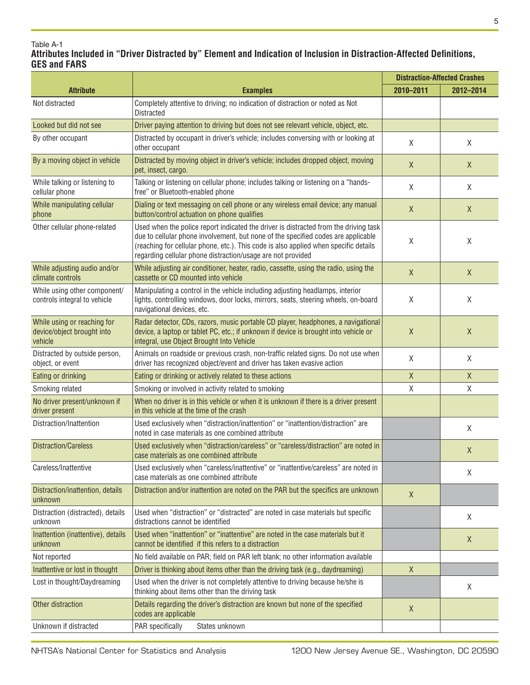#### Table A-1 **Attributes Included in "Driver Distracted by" Element and Indication of Inclusion in Distraction-Affected Definitions, GES and FARS**

|                                                                      |                                                                                                                                                                                                                                                                                                                                  | <b>Distraction-Affected Crashes</b> |              |
|----------------------------------------------------------------------|----------------------------------------------------------------------------------------------------------------------------------------------------------------------------------------------------------------------------------------------------------------------------------------------------------------------------------|-------------------------------------|--------------|
| <b>Attribute</b>                                                     | <b>Examples</b>                                                                                                                                                                                                                                                                                                                  | 2010-2011                           | 2012-2014    |
| Not distracted                                                       | Completely attentive to driving; no indication of distraction or noted as Not<br><b>Distracted</b>                                                                                                                                                                                                                               |                                     |              |
| Looked but did not see                                               | Driver paying attention to driving but does not see relevant vehicle, object, etc.                                                                                                                                                                                                                                               |                                     |              |
| By other occupant                                                    | Distracted by occupant in driver's vehicle; includes conversing with or looking at<br>other occupant                                                                                                                                                                                                                             | X                                   | X            |
| By a moving object in vehicle                                        | Distracted by moving object in driver's vehicle; includes dropped object, moving<br>pet, insect, cargo.                                                                                                                                                                                                                          | X                                   | $\sf X$      |
| While talking or listening to<br>cellular phone                      | Talking or listening on cellular phone; includes talking or listening on a "hands-<br>free" or Bluetooth-enabled phone                                                                                                                                                                                                           | X                                   | Χ            |
| While manipulating cellular<br>phone                                 | Dialing or text messaging on cell phone or any wireless email device; any manual<br>button/control actuation on phone qualifies                                                                                                                                                                                                  | $\mathsf X$                         | X            |
| Other cellular phone-related                                         | Used when the police report indicated the driver is distracted from the driving task<br>due to cellular phone involvement, but none of the specified codes are applicable<br>(reaching for cellular phone, etc.). This code is also applied when specific details<br>regarding cellular phone distraction/usage are not provided | X                                   | Χ            |
| While adjusting audio and/or<br>climate controls                     | While adjusting air conditioner, heater, radio, cassette, using the radio, using the<br>cassette or CD mounted into vehicle                                                                                                                                                                                                      | X                                   | $\sf X$      |
| While using other component/<br>controls integral to vehicle         | Manipulating a control in the vehicle including adjusting headlamps, interior<br>lights, controlling windows, door locks, mirrors, seats, steering wheels, on-board<br>navigational devices, etc.                                                                                                                                | X                                   | Χ            |
| While using or reaching for<br>device/object brought into<br>vehicle | Radar detector, CDs, razors, music portable CD player, headphones, a navigational<br>device, a laptop or tablet PC, etc.; if unknown if device is brought into vehicle or<br>integral, use Object Brought Into Vehicle                                                                                                           | X                                   | X            |
| Distracted by outside person,<br>object, or event                    | Animals on roadside or previous crash, non-traffic related signs. Do not use when<br>driver has recognized object/event and driver has taken evasive action                                                                                                                                                                      | X                                   | χ            |
| Eating or drinking                                                   | Eating or drinking or actively related to these actions                                                                                                                                                                                                                                                                          | X                                   | Χ            |
| Smoking related                                                      | Smoking or involved in activity related to smoking                                                                                                                                                                                                                                                                               | χ                                   | Χ            |
| No driver present/unknown if<br>driver present                       | When no driver is in this vehicle or when it is unknown if there is a driver present<br>in this vehicle at the time of the crash                                                                                                                                                                                                 |                                     |              |
| Distraction/Inattention                                              | Used exclusively when "distraction/inattention" or "inattention/distraction" are<br>noted in case materials as one combined attribute                                                                                                                                                                                            |                                     | χ            |
| <b>Distraction/Careless</b>                                          | Used exclusively when "distraction/careless" or "careless/distraction" are noted in<br>case materials as one combined attribute                                                                                                                                                                                                  |                                     | Χ            |
| Careless/Inattentive                                                 | Used exclusively when "careless/inattentive" or "inattentive/careless" are noted in<br>case materials as one combined attribute                                                                                                                                                                                                  |                                     | χ            |
| Distraction/inattention, details<br>unknown                          | Distraction and/or inattention are noted on the PAR but the specifics are unknown                                                                                                                                                                                                                                                | $\mathsf X$                         |              |
| Distraction (distracted), details<br>unknown                         | Used when "distraction" or "distracted" are noted in case materials but specific<br>distractions cannot be identified                                                                                                                                                                                                            |                                     | χ            |
| Inattention (inattentive), details<br>unknown                        | Used when "inattention" or "inattentive" are noted in the case materials but it<br>cannot be identified if this refers to a distraction                                                                                                                                                                                          |                                     | $\mathsf{X}$ |
| Not reported                                                         | No field available on PAR; field on PAR left blank; no other information available                                                                                                                                                                                                                                               |                                     |              |
| Inattentive or lost in thought                                       | Driver is thinking about items other than the driving task (e.g., daydreaming)                                                                                                                                                                                                                                                   | $\mathsf{X}$                        |              |
| Lost in thought/Daydreaming                                          | Used when the driver is not completely attentive to driving because he/she is<br>thinking about items other than the driving task                                                                                                                                                                                                |                                     | χ            |
| Other distraction                                                    | Details regarding the driver's distraction are known but none of the specified<br>codes are applicable                                                                                                                                                                                                                           | X                                   |              |
| Unknown if distracted                                                | PAR specifically<br>States unknown                                                                                                                                                                                                                                                                                               |                                     |              |